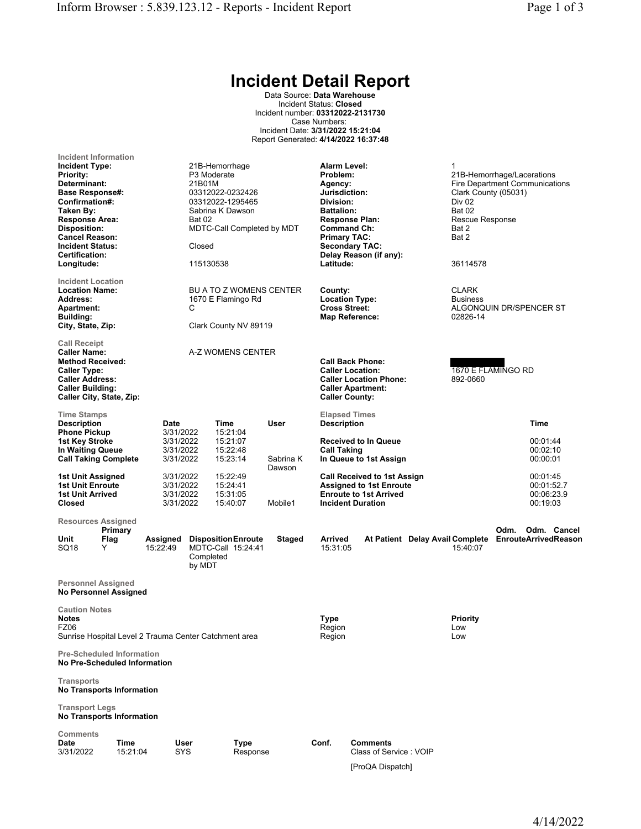## Incident Detail Report

Data Source: Data Warehouse Incident Status: Closed Incident number: 03312022-2131730 Case Numbers: Incident Date: 3/31/2022 15:21:04 Report Generated: 4/14/2022 16:37:48

| Incident Information<br><b>Incident Type:</b><br><b>Priority:</b><br>Determinant:<br><b>Base Response#:</b><br>Confirmation#:<br>Taken By:<br><b>Response Area:</b><br><b>Disposition:</b><br><b>Cancel Reason:</b><br><b>Incident Status:</b><br><b>Certification:</b><br>Longitude: |                      | 21B-Hemorrhage<br>P <sub>3</sub> Moderate<br>21B01M<br>03312022-0232426<br>03312022-1295465<br>Sabrina K Dawson<br>Bat 02<br>MDTC-Call Completed by MDT<br>Closed<br>115130538 |                                                                                                  |                                              |                   |                                                                                                                                          | Alarm Level:<br>Problem:<br>Agency:<br>Jurisdiction:<br>Division:<br><b>Battalion:</b><br><b>Response Plan:</b><br><b>Command Ch:</b><br><b>Primary TAC:</b><br><b>Secondary TAC:</b><br>Delay Reason (if any):<br>Latitude: |  |                                             | 1<br>21B-Hemorrhage/Lacerations<br><b>Fire Department Communications</b><br>Clark County (05031)<br>Div 02<br><b>Bat 02</b><br>Rescue Response<br>Bat 2<br>Bat 2<br>36114578 |                                                  |  |
|---------------------------------------------------------------------------------------------------------------------------------------------------------------------------------------------------------------------------------------------------------------------------------------|----------------------|--------------------------------------------------------------------------------------------------------------------------------------------------------------------------------|--------------------------------------------------------------------------------------------------|----------------------------------------------|-------------------|------------------------------------------------------------------------------------------------------------------------------------------|------------------------------------------------------------------------------------------------------------------------------------------------------------------------------------------------------------------------------|--|---------------------------------------------|------------------------------------------------------------------------------------------------------------------------------------------------------------------------------|--------------------------------------------------|--|
| <b>Incident Location</b><br><b>Location Name:</b><br>Address:<br><b>Apartment:</b><br>Building:<br>City, State, Zip:                                                                                                                                                                  |                      |                                                                                                                                                                                | BU A TO Z WOMENS CENTER<br>1670 E Flamingo Rd<br>С<br>Clark County NV 89119                      |                                              |                   |                                                                                                                                          | County:<br><b>Location Type:</b><br><b>Cross Street:</b><br><b>Map Reference:</b>                                                                                                                                            |  |                                             | <b>CLARK</b><br><b>Business</b><br>ALGONQUIN DR/SPENCER ST<br>02826-14                                                                                                       |                                                  |  |
| <b>Call Receipt</b><br><b>Caller Name:</b><br><b>Method Received:</b><br><b>Caller Type:</b><br><b>Caller Address:</b><br><b>Caller Building:</b><br>Caller City, State, Zip:                                                                                                         |                      |                                                                                                                                                                                | A-Z WOMENS CENTER                                                                                |                                              |                   | <b>Call Back Phone:</b><br><b>Caller Location:</b><br><b>Caller Location Phone:</b><br><b>Caller Apartment:</b><br><b>Caller County:</b> |                                                                                                                                                                                                                              |  | 1670 E FLAMINGO RD<br>892-0660              |                                                                                                                                                                              |                                                  |  |
| <b>Time Stamps</b><br><b>Description</b><br><b>Phone Pickup</b><br>1st Key Stroke<br>In Waiting Queue<br><b>Call Taking Complete</b>                                                                                                                                                  |                      | Date<br>3/31/2022<br>3/31/2022<br>3/31/2022<br>3/31/2022                                                                                                                       | Time                                                                                             | 15:21:04<br>15:21:07<br>15:22:48<br>15:23:14 | User<br>Sabrina K |                                                                                                                                          | <b>Elapsed Times</b><br><b>Description</b><br><b>Received to In Queue</b><br><b>Call Taking</b><br>In Queue to 1st Assign                                                                                                    |  |                                             |                                                                                                                                                                              | Time<br>00:01:44<br>00:02:10<br>00:00:01         |  |
| 1st Unit Assigned<br><b>1st Unit Enroute</b><br>1st Unit Arrived<br>Closed                                                                                                                                                                                                            |                      |                                                                                                                                                                                | 3/31/2022<br>15:22:49<br>3/31/2022<br>15:24:41<br>3/31/2022<br>15:31:05<br>3/31/2022<br>15:40:07 |                                              | Dawson<br>Mobile1 |                                                                                                                                          | <b>Call Received to 1st Assign</b><br><b>Assigned to 1st Enroute</b><br><b>Enroute to 1st Arrived</b><br><b>Incident Duration</b>                                                                                            |  |                                             |                                                                                                                                                                              | 00:01:45<br>00:01:52.7<br>00:06:23.9<br>00:19:03 |  |
| <b>Resources Assigned</b><br>Unit<br>SQ18                                                                                                                                                                                                                                             | Primary<br>Flag<br>Y | Assigned<br>15:22:49                                                                                                                                                           | <b>Disposition Enroute</b><br>MDTC-Call 15:24:41<br>Completed<br>by MDT                          |                                              | Staged            | <b>Arrived</b><br>15:31:05                                                                                                               |                                                                                                                                                                                                                              |  | At Patient Delay Avail Complete<br>15:40:07 | Odm.                                                                                                                                                                         | Odm. Cancel<br><b>EnrouteArrivedReason</b>       |  |
| <b>Personnel Assigned</b><br><b>No Personnel Assigned</b>                                                                                                                                                                                                                             |                      |                                                                                                                                                                                |                                                                                                  |                                              |                   |                                                                                                                                          |                                                                                                                                                                                                                              |  |                                             |                                                                                                                                                                              |                                                  |  |
| <b>Caution Notes</b><br><b>Notes</b><br>FZ06<br>Sunrise Hospital Level 2 Trauma Center Catchment area                                                                                                                                                                                 |                      |                                                                                                                                                                                |                                                                                                  |                                              |                   | <b>Type</b><br>Region<br>Region                                                                                                          |                                                                                                                                                                                                                              |  | Priority<br>Low<br>Low                      |                                                                                                                                                                              |                                                  |  |
| <b>Pre-Scheduled Information</b><br>No Pre-Scheduled Information                                                                                                                                                                                                                      |                      |                                                                                                                                                                                |                                                                                                  |                                              |                   |                                                                                                                                          |                                                                                                                                                                                                                              |  |                                             |                                                                                                                                                                              |                                                  |  |
| <b>Transports</b><br><b>No Transports Information</b>                                                                                                                                                                                                                                 |                      |                                                                                                                                                                                |                                                                                                  |                                              |                   |                                                                                                                                          |                                                                                                                                                                                                                              |  |                                             |                                                                                                                                                                              |                                                  |  |
| <b>Transport Legs</b><br><b>No Transports Information</b>                                                                                                                                                                                                                             |                      |                                                                                                                                                                                |                                                                                                  |                                              |                   |                                                                                                                                          |                                                                                                                                                                                                                              |  |                                             |                                                                                                                                                                              |                                                  |  |
| Comments<br><b>Date</b><br>3/31/2022                                                                                                                                                                                                                                                  | Time<br>15:21:04     | User<br><b>SYS</b>                                                                                                                                                             |                                                                                                  | Type<br>Response                             |                   | Conf.                                                                                                                                    | <b>Comments</b><br>Class of Service: VOIP                                                                                                                                                                                    |  |                                             |                                                                                                                                                                              |                                                  |  |

[ProQA Dispatch]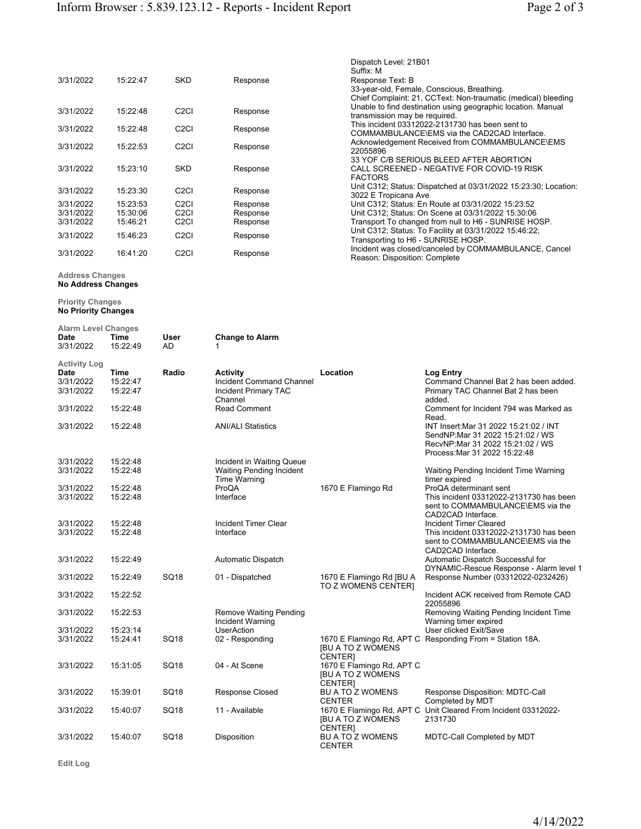| 3/31/2022              | 15:22:47             | <b>SKD</b>                                                     | Response             | Dispatch Level: 21B01<br>Suffix: M<br>Response Text: B<br>33-year-old, Female, Conscious, Breathing.<br>Chief Complaint: 21, CCText: Non-traumatic (medical) bleeding |
|------------------------|----------------------|----------------------------------------------------------------|----------------------|-----------------------------------------------------------------------------------------------------------------------------------------------------------------------|
| 3/31/2022              | 15:22:48             | C <sub>2</sub> C <sub>I</sub>                                  | Response             | Unable to find destination using geographic location. Manual<br>transmission may be required.                                                                         |
| 3/31/2022              | 15:22:48             | C <sub>2</sub> C <sub>I</sub>                                  | Response             | This incident 03312022-2131730 has been sent to<br>COMMAMBULANCE\EMS via the CAD2CAD Interface.                                                                       |
| 3/31/2022              | 15:22:53             | C <sub>2</sub> C <sub>I</sub>                                  | Response             | Acknowledgement Received from COMMAMBULANCE\EMS<br>22055896                                                                                                           |
| 3/31/2022              | 15:23:10             | <b>SKD</b>                                                     | Response             | 33 YOF C/B SERIOUS BLEED AFTER ABORTION<br>CALL SCREENED - NEGATIVE FOR COVID-19 RISK<br><b>FACTORS</b>                                                               |
| 3/31/2022              | 15:23:30             | C <sub>2</sub> C <sub>I</sub>                                  | Response             | Unit C312; Status: Dispatched at 03/31/2022 15:23:30; Location:<br>3022 E Tropicana Ave                                                                               |
| 3/31/2022<br>3/31/2022 | 15:23:53<br>15:30:06 | C <sub>2</sub> C <sub>I</sub><br>C <sub>2</sub> C <sub>I</sub> | Response<br>Response | Unit C312; Status: En Route at 03/31/2022 15:23:52<br>Unit C312; Status: On Scene at 03/31/2022 15:30:06                                                              |
| 3/31/2022              | 15:46:21             | C <sub>2</sub> C <sub>I</sub>                                  | Response             | Transport To changed from null to H6 - SUNRISE HOSP.                                                                                                                  |
| 3/31/2022              | 15:46:23             | C <sub>2</sub> C <sub>I</sub>                                  | Response             | Unit C312; Status: To Facility at 03/31/2022 15:46:22;<br>Transporting to H6 - SUNRISE HOSP.                                                                          |
| 3/31/2022              | 16:41:20             | C <sub>2</sub> C <sub>I</sub>                                  | Response             | Incident was closed/canceled by COMMAMBULANCE, Cancel<br>Reason: Disposition: Complete                                                                                |

## Address Changes No Address Changes

Priority Changes

No Priority Changes Alarm Level Changes

| Alarm Level Changes            |                              |                  |                                                                                       |                                                                         |                                                                                                                                                 |
|--------------------------------|------------------------------|------------------|---------------------------------------------------------------------------------------|-------------------------------------------------------------------------|-------------------------------------------------------------------------------------------------------------------------------------------------|
| Date<br>3/31/2022              | Time<br>15:22:49             | User<br>AD       | <b>Change to Alarm</b>                                                                |                                                                         |                                                                                                                                                 |
| Activity Log                   |                              |                  |                                                                                       |                                                                         |                                                                                                                                                 |
| Date<br>3/31/2022<br>3/31/2022 | Time<br>15:22:47<br>15:22:47 | Radio            | Activity<br><b>Incident Command Channel</b><br><b>Incident Primary TAC</b><br>Channel | Location                                                                | Log Entry<br>Command Channel Bat 2 has been added.<br>Primary TAC Channel Bat 2 has been<br>added.                                              |
| 3/31/2022                      | 15:22:48                     |                  | <b>Read Comment</b>                                                                   |                                                                         | Comment for Incident 794 was Marked as<br>Read.                                                                                                 |
| 3/31/2022                      | 15:22:48                     |                  | <b>ANI/ALI Statistics</b>                                                             |                                                                         | INT Insert: Mar 31 2022 15:21:02 / INT<br>SendNP:Mar 31 2022 15:21:02 / WS<br>RecvNP:Mar 31 2022 15:21:02 / WS<br>Process: Mar 31 2022 15:22:48 |
| 3/31/2022                      | 15:22:48                     |                  | Incident in Waiting Queue                                                             |                                                                         |                                                                                                                                                 |
| 3/31/2022                      | 15:22:48                     |                  | <b>Waiting Pending Incident</b><br><b>Time Warning</b>                                |                                                                         | Waiting Pending Incident Time Warning<br>timer expired                                                                                          |
| 3/31/2022                      | 15:22:48                     |                  | ProQA                                                                                 | 1670 E Flamingo Rd                                                      | ProQA determinant sent                                                                                                                          |
| 3/31/2022                      | 15:22:48                     |                  | Interface                                                                             |                                                                         | This incident 03312022-2131730 has been<br>sent to COMMAMBULANCE\EMS via the<br>CAD2CAD Interface.                                              |
| 3/31/2022<br>3/31/2022         | 15:22:48<br>15:22:48         |                  | Incident Timer Clear<br>Interface                                                     |                                                                         | Incident Timer Cleared<br>This incident 03312022-2131730 has been<br>sent to COMMAMBULANCE\EMS via the<br>CAD2CAD Interface.                    |
| 3/31/2022                      | 15:22:49                     |                  | Automatic Dispatch                                                                    |                                                                         | Automatic Dispatch Successful for                                                                                                               |
| 3/31/2022                      | 15:22:49                     | <b>SQ18</b>      | 01 - Dispatched                                                                       | 1670 E Flamingo Rd [BU A<br>TO Z WOMENS CENTER]                         | DYNAMIC-Rescue Response - Alarm level 1<br>Response Number (03312022-0232426)                                                                   |
| 3/31/2022                      | 15:22:52                     |                  |                                                                                       |                                                                         | Incident ACK received from Remote CAD<br>22055896                                                                                               |
| 3/31/2022                      | 15:22:53                     |                  | <b>Remove Waiting Pending</b><br>Incident Warning                                     |                                                                         | Removing Waiting Pending Incident Time<br>Warning timer expired                                                                                 |
| 3/31/2022                      | 15:23:14                     |                  | <b>UserAction</b>                                                                     |                                                                         | User clicked Exit/Save                                                                                                                          |
| 3/31/2022                      | 15:24:41                     | SQ <sub>18</sub> | 02 - Responding                                                                       | <b>IBU A TO Z WOMENS</b><br><b>CENTERI</b>                              | 1670 E Flamingo Rd, APT C Responding From = Station 18A.                                                                                        |
| 3/31/2022                      | 15:31:05                     | SQ18             | 04 - At Scene                                                                         | 1670 E Flamingo Rd, APT C<br><b>IBU A TO Z WOMENS</b><br><b>CENTERI</b> |                                                                                                                                                 |
| 3/31/2022                      | 15:39:01                     | SQ18             | Response Closed                                                                       | BU A TO Z WOMENS<br><b>CENTER</b>                                       | Response Disposition: MDTC-Call<br>Completed by MDT                                                                                             |
| 3/31/2022                      | 15:40:07                     | SQ18             | 11 - Available                                                                        | <b>IBU A TO Z WOMENS</b><br>CENTER]                                     | 1670 E Flamingo Rd, APT C Unit Cleared From Incident 03312022-<br>2131730                                                                       |
| 3/31/2022                      | 15:40:07                     | SQ <sub>18</sub> | Disposition                                                                           | <b>BU A TO Z WOMENS</b><br><b>CENTER</b>                                | MDTC-Call Completed by MDT                                                                                                                      |